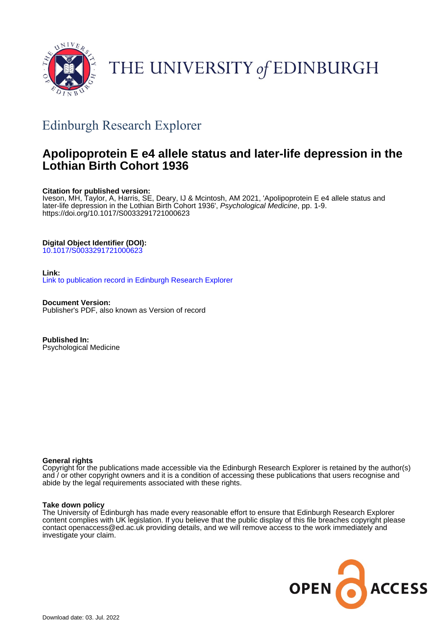

# THE UNIVERSITY of EDINBURGH

## Edinburgh Research Explorer

## **Apolipoprotein E e4 allele status and later-life depression in the Lothian Birth Cohort 1936**

## **Citation for published version:**

Iveson, MH, Taylor, A, Harris, SE, Deary, IJ & Mcintosh, AM 2021, 'Apolipoprotein E e4 allele status and later-life depression in the Lothian Birth Cohort 1936', Psychological Medicine, pp. 1-9. <https://doi.org/10.1017/S0033291721000623>

## **Digital Object Identifier (DOI):**

[10.1017/S0033291721000623](https://doi.org/10.1017/S0033291721000623)

## **Link:**

[Link to publication record in Edinburgh Research Explorer](https://www.research.ed.ac.uk/en/publications/e99f8f74-9a61-42f9-9cd8-d337ad5948eb)

**Document Version:** Publisher's PDF, also known as Version of record

**Published In:** Psychological Medicine

## **General rights**

Copyright for the publications made accessible via the Edinburgh Research Explorer is retained by the author(s) and / or other copyright owners and it is a condition of accessing these publications that users recognise and abide by the legal requirements associated with these rights.

## **Take down policy**

The University of Edinburgh has made every reasonable effort to ensure that Edinburgh Research Explorer content complies with UK legislation. If you believe that the public display of this file breaches copyright please contact openaccess@ed.ac.uk providing details, and we will remove access to the work immediately and investigate your claim.

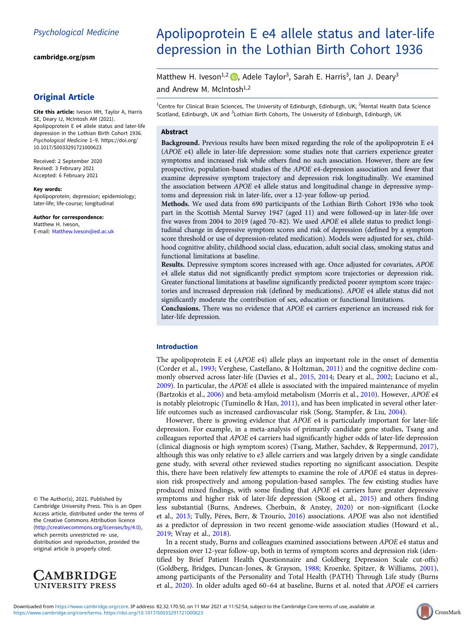[cambridge.org/psm](https://www.cambridge.org/psm)

## Original Article

Cite this article: Iveson MH, Taylor A, Harris SE, Deary IJ, McIntosh AM (2021). Apolipoprotein E e4 allele status and later-life depression in the Lothian Birth Cohort 1936. Psychological Medicine 1–9. [https://doi.org/](https://doi.org/10.1017/S0033291721000623) [10.1017/S0033291721000623](https://doi.org/10.1017/S0033291721000623)

Received: 2 September 2020 Revised: 3 February 2021 Accepted: 6 February 2021

#### Key words:

Apolipoprotein; depression; epidemiology; later-life; life-course; longitudinal

Author for correspondence: Matthew H. Iveson, E-mail: [Matthew.Iveson@ed.ac.uk](mailto:Matthew.Iveson@ed.ac.uk)

© The Author(s), 2021. Published by Cambridge University Press. This is an Open Access article, distributed under the terms of the Creative Commons Attribution licence (<http://creativecommons.org/licenses/by/4.0>), which permits unrestricted re- use,

distribution and reproduction, provided the original article is properly cited.



## Apolipoprotein E e4 allele status and later-life depression in the Lothian Birth Cohort 1936

Matthew H. Iveson<sup>1,2</sup>  $\bullet$ , Adele Taylor<sup>3</sup>, Sarah E. Harris<sup>3</sup>, Ian J. Deary<sup>3</sup>

and Andrew M. McIntosh<sup>1,2</sup>

<sup>1</sup>Centre for Clinical Brain Sciences, The University of Edinburgh, Edinburgh, UK; <sup>2</sup>Mental Health Data Science Scotland, Edinburgh, UK and <sup>3</sup>Lothian Birth Cohorts, The University of Edinburgh, Edinburgh, UK

### Abstract

Background. Previous results have been mixed regarding the role of the apolipoprotein E e4 (APOE e4) allele in later-life depression: some studies note that carriers experience greater symptoms and increased risk while others find no such association. However, there are few prospective, population-based studies of the APOE e4-depression association and fewer that examine depressive symptom trajectory and depression risk longitudinally. We examined the association between APOE e4 allele status and longitudinal change in depressive symptoms and depression risk in later-life, over a 12-year follow-up period.

Methods. We used data from 690 participants of the Lothian Birth Cohort 1936 who took part in the Scottish Mental Survey 1947 (aged 11) and were followed-up in later-life over five waves from 2004 to 2019 (aged 70–82). We used APOE e4 allele status to predict longitudinal change in depressive symptom scores and risk of depression (defined by a symptom score threshold or use of depression-related medication). Models were adjusted for sex, childhood cognitive ability, childhood social class, education, adult social class, smoking status and functional limitations at baseline.

Results. Depressive symptom scores increased with age. Once adjusted for covariates, APOE e4 allele status did not significantly predict symptom score trajectories or depression risk. Greater functional limitations at baseline significantly predicted poorer symptom score trajectories and increased depression risk (defined by medications). APOE e4 allele status did not significantly moderate the contribution of sex, education or functional limitations.

Conclusions. There was no evidence that APOE e4 carriers experience an increased risk for later-life depression.

#### Introduction

The apolipoprotein E e4 (APOE e4) allele plays an important role in the onset of dementia (Corder et al., [1993](#page-8-0); Verghese, Castellano, & Holtzman, [2011\)](#page-9-0) and the cognitive decline commonly observed across later-life (Davies et al., [2015](#page-8-0), [2014;](#page-8-0) Deary et al., [2002](#page-8-0); Luciano et al., [2009\)](#page-9-0). In particular, the APOE e4 allele is associated with the impaired maintenance of myelin (Bartzokis et al., [2006\)](#page-8-0) and beta-amyloid metabolism (Morris et al., [2010](#page-9-0)). However, APOE e4 is notably pleiotropic (Tuminello & Han, [2011\)](#page-9-0), and has been implicated in several other laterlife outcomes such as increased cardiovascular risk (Song, Stampfer, & Liu, [2004](#page-9-0)).

However, there is growing evidence that APOE e4 is particularly important for later-life depression. For example, in a meta-analysis of primarily candidate gene studies, Tsang and colleagues reported that APOE e4 carriers had significantly higher odds of later-life depression (clinical diagnosis or high symptom scores) (Tsang, Mather, Sachdev, & Reppermund, [2017](#page-9-0)), although this was only relative to e3 allele carriers and was largely driven by a single candidate gene study, with several other reviewed studies reporting no significant association. Despite this, there have been relatively few attempts to examine the role of APOE e4 status in depression risk prospectively and among population-based samples. The few existing studies have produced mixed findings, with some finding that APOE e4 carriers have greater depressive symptoms and higher risk of later-life depression (Skoog et al., [2015](#page-9-0)) and others finding less substantial (Burns, Andrews, Cherbuin, & Anstey, [2020](#page-8-0)) or non-significant (Locke et al., [2013](#page-9-0); Tully, Péres, Berr, & Tzourio, [2016\)](#page-9-0) associations. APOE was also not identified as a predictor of depression in two recent genome-wide association studies (Howard et al., [2019;](#page-9-0) Wray et al., [2018\)](#page-9-0).

In a recent study, Burns and colleagues examined associations between APOE e4 status and depression over 12-year follow-up, both in terms of symptom scores and depression risk (identified by Brief Patient Health Questionnaire and Goldberg Depression Scale cut-offs) (Goldberg, Bridges, Duncan-Jones, & Grayson, [1988;](#page-9-0) Kroenke, Spitzer, & Williams, [2001](#page-9-0)), among participants of the Personality and Total Health (PATH) Through Life study (Burns et al., [2020](#page-8-0)). In older adults aged 60–64 at baseline, Burns et al. noted that APOE e4 carriers

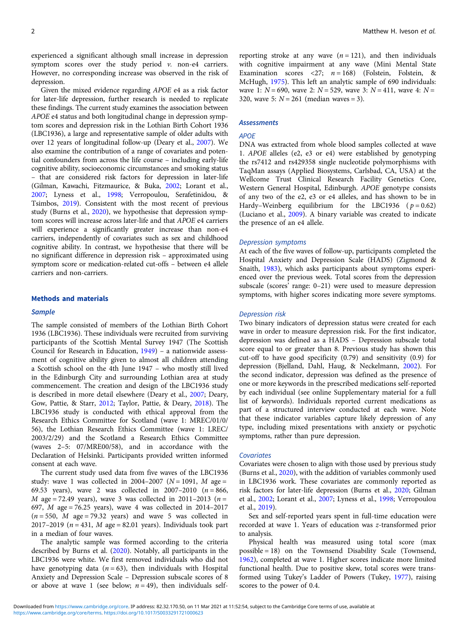experienced a significant although small increase in depression symptom scores over the study period  $v$ . non-e4 carriers. However, no corresponding increase was observed in the risk of depression.

Given the mixed evidence regarding APOE e4 as a risk factor for later-life depression, further research is needed to replicate these findings. The current study examines the association between APOE e4 status and both longitudinal change in depression symptom scores and depression risk in the Lothian Birth Cohort 1936 (LBC1936), a large and representative sample of older adults with over 12 years of longitudinal follow-up (Deary et al., [2007](#page-8-0)). We also examine the contribution of a range of covariates and potential confounders from across the life course – including early-life cognitive ability, socioeconomic circumstances and smoking status – that are considered risk factors for depression in later-life (Gilman, Kawachi, Fitzmaurice, & Buka, [2002;](#page-9-0) Lorant et al., [2007;](#page-9-0) Lyness et al., [1998;](#page-9-0) Verropoulou, Serafetinidou, & Tsimbos, [2019](#page-9-0)). Consistent with the most recent of previous study (Burns et al., [2020\)](#page-8-0), we hypothesise that depression symptom scores will increase across later-life and that APOE e4 carriers will experience a significantly greater increase than non-e4 carriers, independently of covariates such as sex and childhood cognitive ability. In contrast, we hypothesise that there will be no significant difference in depression risk – approximated using symptom score or medication-related cut-offs – between e4 allele carriers and non-carriers.

#### Methods and materials

#### **Sample**

The sample consisted of members of the Lothian Birth Cohort 1936 (LBC1936). These individuals were recruited from surviving participants of the Scottish Mental Survey 1947 (The Scottish Council for Research in Education, [1949](#page-9-0)) – a nationwide assessment of cognitive ability given to almost all children attending a Scottish school on the 4th June 1947 – who mostly still lived in the Edinburgh City and surrounding Lothian area at study commencement. The creation and design of the LBC1936 study is described in more detail elsewhere (Deary et al., [2007;](#page-8-0) Deary, Gow, Pattie, & Starr, [2012;](#page-8-0) Taylor, Pattie, & Deary, [2018](#page-9-0)). The LBC1936 study is conducted with ethical approval from the Research Ethics Committee for Scotland (wave 1: MREC/01/0/ 56), the Lothian Research Ethics Committee (wave 1: LREC/ 2003/2/29) and the Scotland a Research Ethics Committee (waves 2–5: 07/MRE00/58), and in accordance with the Declaration of Helsinki. Participants provided written informed consent at each wave.

The current study used data from five waves of the LBC1936 study: wave 1 was collected in 2004–2007 ( $N = 1091$ ,  $M$  age = 69.53 years), wave 2 was collected in 2007–2010 ( $n = 866$ , *M* age = 72.49 years), wave 3 was collected in 2011–2013 ( $n =$ 697, M age = 76.25 years), wave 4 was collected in 2014–2017  $(n = 550, M \text{ age} = 79.32 \text{ years})$  and wave 5 was collected in 2017–2019 ( $n = 431$ , M age = 82.01 years). Individuals took part in a median of four waves.

The analytic sample was formed according to the criteria described by Burns et al. [\(2020](#page-8-0)). Notably, all participants in the LBC1936 were white. We first removed individuals who did not have genotyping data ( $n = 63$ ), then individuals with Hospital Anxiety and Depression Scale – Depression subscale scores of 8 or above at wave 1 (see below;  $n = 49$ ), then individuals selfreporting stroke at any wave  $(n = 121)$ , and then individuals with cognitive impairment at any wave (Mini Mental State Examination scores <27;  $n = 168$ ) (Folstein, Folstein, & McHugh, [1975\)](#page-8-0). This left an analytic sample of 690 individuals: wave 1:  $N = 690$ , wave 2:  $N = 529$ , wave 3:  $N = 411$ , wave 4:  $N =$ 320, wave 5:  $N = 261$  (median waves = 3).

#### **Assessments**

#### APOE

DNA was extracted from whole blood samples collected at wave 1. APOE alleles (e2, e3 or e4) were established by genotyping the rs7412 and rs429358 single nucleotide polymorphisms with TaqMan assays (Applied Biosystems, Carlsbad, CA, USA) at the Wellcome Trust Clinical Research Facility Genetics Core, Western General Hospital, Edinburgh. APOE genotype consists of any two of the e2, e3 or e4 alleles, and has shown to be in Hardy–Weinberg equilibrium for the LBC1936 ( $p = 0.62$ ) (Luciano et al., [2009\)](#page-9-0). A binary variable was created to indicate the presence of an e4 allele.

#### Depression symptoms

At each of the five waves of follow-up, participants completed the Hospital Anxiety and Depression Scale (HADS) (Zigmond & Snaith, [1983\)](#page-9-0), which asks participants about symptoms experienced over the previous week. Total scores from the depression subscale (scores' range: 0–21) were used to measure depression symptoms, with higher scores indicating more severe symptoms.

#### Depression risk

Two binary indicators of depression status were created for each wave in order to measure depression risk. For the first indicator, depression was defined as a HADS – Depression subscale total score equal to or greater than 8. Previous study has shown this cut-off to have good specificity (0.79) and sensitivity (0.9) for depression (Bjelland, Dahl, Haug, & Neckelmann, [2002](#page-8-0)). For the second indicator, depression was defined as the presence of one or more keywords in the prescribed medications self-reported by each individual (see online Supplementary material for a full list of keywords). Individuals reported current medications as part of a structured interview conducted at each wave. Note that these indicator variables capture likely depression of any type, including mixed presentations with anxiety or psychotic symptoms, rather than pure depression.

#### **Covariates**

Covariates were chosen to align with those used by previous study (Burns et al., [2020\)](#page-8-0), with the addition of variables commonly used in LBC1936 work. These covariates are commonly reported as risk factors for later-life depression (Burns et al., [2020](#page-8-0); Gilman et al., [2002;](#page-9-0) Lorant et al., [2007](#page-9-0); Lyness et al., [1998;](#page-9-0) Verropoulou et al., [2019](#page-9-0)).

Sex and self-reported years spent in full-time education were recorded at wave 1. Years of education was z-transformed prior to analysis.

Physical health was measured using total score (max possible = 18) on the Townsend Disability Scale (Townsend, [1962\)](#page-9-0), completed at wave 1. Higher scores indicate more limited functional health. Due to positive skew, total scores were transformed using Tukey's Ladder of Powers (Tukey, [1977\)](#page-9-0), raising scores to the power of 0.4.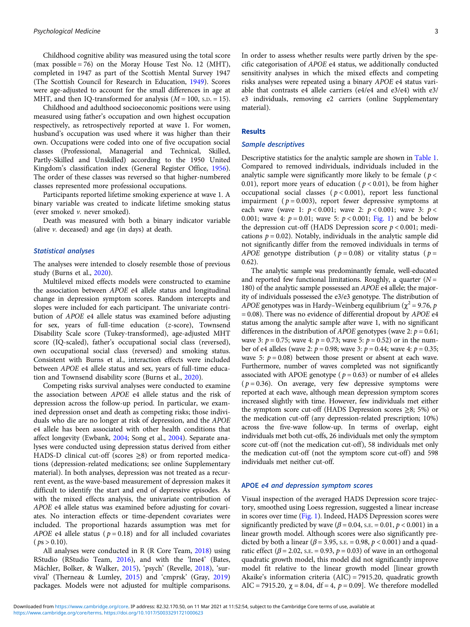Childhood cognitive ability was measured using the total score (max possible = 76) on the Moray House Test No. 12 (MHT), completed in 1947 as part of the Scottish Mental Survey 1947 (The Scottish Council for Research in Education, [1949\)](#page-9-0). Scores were age-adjusted to account for the small differences in age at MHT, and then IQ-transformed for analysis  $(M = 100, s.D. = 15)$ .

Childhood and adulthood socioeconomic positions were using measured using father's occupation and own highest occupation respectively, as retrospectively reported at wave 1. For women, husband's occupation was used where it was higher than their own. Occupations were coded into one of five occupation social classes (Professional, Managerial and Technical, Skilled, Partly-Skilled and Unskilled) according to the 1950 United Kingdom's classification index (General Register Office, [1956\)](#page-9-0). The order of these classes was reversed so that higher-numbered classes represented more professional occupations.

Participants reported lifetime smoking experience at wave 1. A binary variable was created to indicate lifetime smoking status (ever smoked v. never smoked).

Death was measured with both a binary indicator variable (alive v. deceased) and age (in days) at death.

#### Statistical analyses

The analyses were intended to closely resemble those of previous study (Burns et al., [2020](#page-8-0)).

Multilevel mixed effects models were constructed to examine the association between APOE e4 allele status and longitudinal change in depression symptom scores. Random intercepts and slopes were included for each participant. The univariate contribution of APOE e4 allele status was examined before adjusting for sex, years of full-time education (z-score), Townsend Disability Scale score (Tukey-transformed), age-adjusted MHT score (IQ-scaled), father's occupational social class (reversed), own occupational social class (reversed) and smoking status. Consistent with Burns et al., interaction effects were included between APOE e4 allele status and sex, years of full-time education and Townsend disability score (Burns et al., [2020](#page-8-0)).

Competing risks survival analyses were conducted to examine the association between APOE e4 allele status and the risk of depression across the follow-up period. In particular, we examined depression onset and death as competing risks; those individuals who die are no longer at risk of depression, and the APOE e4 allele has been associated with other health conditions that affect longevity (Ewbank, [2004;](#page-8-0) Song et al., [2004](#page-9-0)). Separate analyses were conducted using depression status derived from either HADS-D clinical cut-off (scores ≥8) or from reported medications (depression-related medications; see online Supplementary material). In both analyses, depression was not treated as a recurrent event, as the wave-based measurement of depression makes it difficult to identify the start and end of depressive episodes. As with the mixed effects analysis, the univariate contribution of APOE e4 allele status was examined before adjusting for covariates. No interaction effects or time-dependent covariates were included. The proportional hazards assumption was met for APOE e4 allele status ( $p = 0.18$ ) and for all included covariates  $(ps > 0.10)$ .

All analyses were conducted in R (R Core Team, [2018](#page-9-0)) using RStudio (RStudio Team, [2016\)](#page-9-0), and with the 'lme4' (Bates, Mächler, Bolker, & Walker, [2015\)](#page-8-0), 'psych' (Revelle, [2018](#page-9-0)), 'survival' (Therneau & Lumley, [2015](#page-9-0)) and 'cmprsk' (Gray, [2019\)](#page-9-0) packages. Models were not adjusted for multiple comparisons.

In order to assess whether results were partly driven by the specific categorisation of APOE e4 status, we additionally conducted sensitivity analyses in which the mixed effects and competing risks analyses were repeated using a binary APOE e4 status variable that contrasts e4 allele carriers (e4/e4 and e3/e4) with e3/ e3 individuals, removing e2 carriers (online Supplementary material).

#### Results

#### Sample descriptives

Descriptive statistics for the analytic sample are shown in [Table 1](#page-4-0). Compared to removed individuals, individuals included in the analytic sample were significantly more likely to be female ( $p <$ 0.01), report more years of education ( $p < 0.01$ ), be from higher occupational social classes ( $p < 0.001$ ), report less functional impairment ( $p = 0.003$ ), report fewer depressive symptoms at each wave (wave 1:  $p < 0.001$ ; wave 2:  $p < 0.001$ ; wave 3:  $p <$ 0.001; wave 4:  $p = 0.01$ ; wave 5:  $p < 0.001$ ; [Fig. 1\)](#page-5-0) and be below the depression cut-off (HADS Depression score  $p < 0.001$ ; medications  $p = 0.02$ ). Notably, individuals in the analytic sample did not significantly differ from the removed individuals in terms of APOE genotype distribution ( $p = 0.08$ ) or vitality status ( $p =$ 0.62).

The analytic sample was predominantly female, well-educated and reported few functional limitations. Roughly, a quarter  $(N =$ 180) of the analytic sample possessed an APOE e4 allele; the majority of individuals possessed the e3/e3 genotype. The distribution of APOE genotypes was in Hardy–Weinberg equilibrium ( $\chi^2$  = 9.76, p  $= 0.08$ ). There was no evidence of differential dropout by APOE e4 status among the analytic sample after wave 1, with no significant differences in the distribution of *APOE* genotypes (wave 2:  $p = 0.61$ ; wave 3:  $p = 0.75$ ; wave 4:  $p = 0.73$ ; wave 5:  $p = 0.52$ ) or in the number of e4 alleles (wave 2:  $p = 0.98$ ; wave 3:  $p = 0.44$ ; wave 4:  $p = 0.35$ ; wave 5:  $p = 0.08$ ) between those present or absent at each wave. Furthermore, number of waves completed was not significantly associated with APOE genotype ( $p = 0.63$ ) or number of e4 alleles  $(p = 0.36)$ . On average, very few depressive symptoms were reported at each wave, although mean depression symptom scores increased slightly with time. However, few individuals met either the symptom score cut-off (HADS Depression scores ≥8; 5%) or the medication cut-off (any depression-related prescription; 10%) across the five-wave follow-up. In terms of overlap, eight individuals met both cut-offs, 26 individuals met only the symptom score cut-off (not the medication cut-off), 58 individuals met only the medication cut-off (not the symptom score cut-off) and 598 individuals met neither cut-off.

#### APOE e4 and depression symptom scores

Visual inspection of the averaged HADS Depression score trajectory, smoothed using Loess regression, suggested a linear increase in scores over time [\(Fig. 1\)](#page-5-0). Indeed, HADS Depression scores were significantly predicted by wave ( $\beta$  = 0.04, s.e. = 0.01,  $p$  < 0.001) in a linear growth model. Although scores were also significantly predicted by both a linear ( $\beta$  = 3.95, s.e. = 0.98,  $p$  < 0.001) and a quadratic effect ( $\beta$  = 2.02, s.e. = 0.93,  $p$  = 0.03) of wave in an orthogonal quadratic growth model, this model did not significantly improve model fit relative to the linear growth model [linear growth Akaike's information criteria (AIC) = 7915.20, quadratic growth AIC = 7915.20,  $\chi$  = 8.04, df = 4,  $p$  = 0.09]. We therefore modelled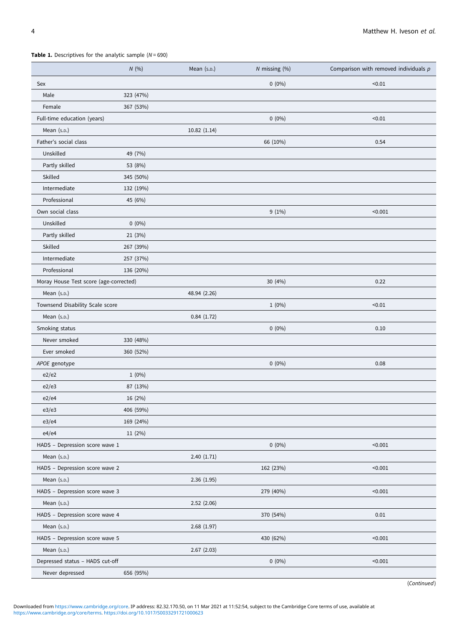#### <span id="page-4-0"></span>**Table 1.** Descriptives for the analytic sample  $(N = 690)$

|                                        | N(%)      | Mean (s.p.)  | $N$ missing $(\%)$ | Comparison with removed individuals $p$ |
|----------------------------------------|-----------|--------------|--------------------|-----------------------------------------|
| Sex                                    |           |              | $0(0\%)$           | < 0.01                                  |
| Male                                   | 323 (47%) |              |                    |                                         |
| Female                                 | 367 (53%) |              |                    |                                         |
| Full-time education (years)            |           |              | $0(0\%)$           | < 0.01                                  |
| Mean (s.p.)                            |           | 10.82(1.14)  |                    |                                         |
| Father's social class                  |           |              | 66 (10%)           | 0.54                                    |
| Unskilled                              | 49 (7%)   |              |                    |                                         |
| Partly skilled                         | 53 (8%)   |              |                    |                                         |
| Skilled                                | 345 (50%) |              |                    |                                         |
| Intermediate                           | 132 (19%) |              |                    |                                         |
| Professional                           | 45 (6%)   |              |                    |                                         |
| Own social class                       |           |              | $9(1\%)$           | < 0.001                                 |
| Unskilled                              | $0(0\%)$  |              |                    |                                         |
| Partly skilled                         | 21 (3%)   |              |                    |                                         |
| Skilled                                | 267 (39%) |              |                    |                                         |
| Intermediate                           | 257 (37%) |              |                    |                                         |
| Professional                           | 136 (20%) |              |                    |                                         |
| Moray House Test score (age-corrected) |           |              | 30 (4%)            | 0.22                                    |
| Mean (s.p.)                            |           | 48.94 (2.26) |                    |                                         |
| Townsend Disability Scale score        |           |              | $1(0\%)$           | < 0.01                                  |
| Mean (s.D.)                            |           | 0.84(1.72)   |                    |                                         |
| Smoking status                         |           |              | $0(0\%)$           | 0.10                                    |
| Never smoked                           | 330 (48%) |              |                    |                                         |
| Ever smoked                            | 360 (52%) |              |                    |                                         |
| APOE genotype                          |           |              | $0(0\%)$           | 0.08                                    |
| e2/e2                                  | $1(0\%)$  |              |                    |                                         |
| e2/e3                                  | 87 (13%)  |              |                    |                                         |
| e2/e4                                  | 16 (2%)   |              |                    |                                         |
| e3/e3                                  | 406 (59%) |              |                    |                                         |
| e3/e4                                  | 169 (24%) |              |                    |                                         |
| e4/e4                                  | 11 (2%)   |              |                    |                                         |
| HADS - Depression score wave 1         |           |              | $0(0\%)$           | < 0.001                                 |
| Mean (s.p.)                            |           | 2.40(1.71)   |                    |                                         |
| HADS - Depression score wave 2         |           |              | 162 (23%)          | < 0.001                                 |
| Mean (s.p.)                            |           | 2.36(1.95)   |                    |                                         |
| HADS - Depression score wave 3         |           |              | 279 (40%)          | < 0.001                                 |
| Mean $(s.p.)$                          |           | 2.52(2.06)   |                    |                                         |
| HADS - Depression score wave 4         |           |              | 370 (54%)          | 0.01                                    |
| Mean (s.p.)                            |           | 2.68(1.97)   |                    |                                         |
| HADS - Depression score wave 5         |           |              | 430 (62%)          | < 0.001                                 |
| Mean (s.p.)                            |           | 2.67(2.03)   |                    |                                         |
| Depressed status - HADS cut-off        |           |              | $0(0\%)$           | < 0.001                                 |
| Never depressed                        | 656 (95%) |              |                    |                                         |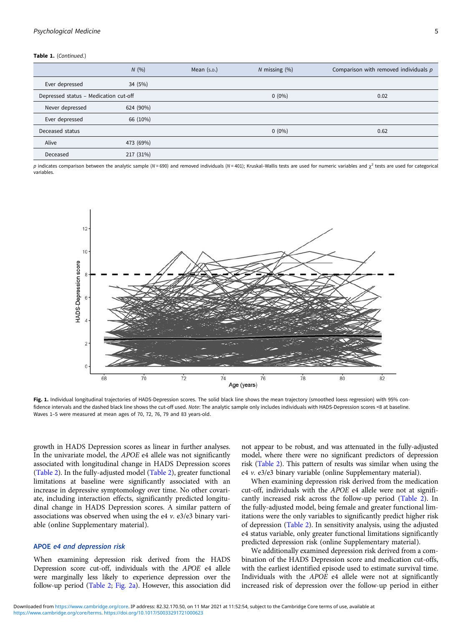#### <span id="page-5-0"></span>Table 1. (Continued.)

|                                       | N(96)     | Mean $(s.p.)$ | $N$ missing $(\%)$ | Comparison with removed individuals $p$ |  |
|---------------------------------------|-----------|---------------|--------------------|-----------------------------------------|--|
| Ever depressed                        | 34 (5%)   |               |                    |                                         |  |
| Depressed status - Medication cut-off |           |               | $0(0\%)$           | 0.02                                    |  |
| Never depressed                       | 624 (90%) |               |                    |                                         |  |
| Ever depressed                        | 66 (10%)  |               |                    |                                         |  |
| Deceased status                       |           |               | $0(0\%)$           | 0.62                                    |  |
| Alive                                 | 473 (69%) |               |                    |                                         |  |
| Deceased                              | 217 (31%) |               |                    |                                         |  |

p indicates comparison between the analytic sample (N = 690) and removed individuals (N = 401); Kruskal–Wallis tests are used for numeric variables and  $\chi^2$  tests are used for categorical variables.



Fig. 1. Individual longitudinal trajectories of HADS-Depression scores. The solid black line shows the mean trajectory (smoothed loess regression) with 95% confidence intervals and the dashed black line shows the cut-off used. Note: The analytic sample only includes individuals with HADS-Depression scores <8 at baseline. Waves 1–5 were measured at mean ages of 70, 72, 76, 79 and 83 years-old.

growth in HADS Depression scores as linear in further analyses. In the univariate model, the APOE e4 allele was not significantly associated with longitudinal change in HADS Depression scores ([Table 2\)](#page-6-0). In the fully-adjusted model ([Table 2](#page-6-0)), greater functional limitations at baseline were significantly associated with an increase in depressive symptomology over time. No other covariate, including interaction effects, significantly predicted longitudinal change in HADS Depression scores. A similar pattern of associations was observed when using the e4 v. e3/e3 binary variable (online Supplementary material).

### APOE e4 and depression risk

When examining depression risk derived from the HADS Depression score cut-off, individuals with the APOE e4 allele were marginally less likely to experience depression over the follow-up period [\(Table 2;](#page-6-0) [Fig. 2a\)](#page-7-0). However, this association did

not appear to be robust, and was attenuated in the fully-adjusted model, where there were no significant predictors of depression risk [\(Table 2\)](#page-6-0). This pattern of results was similar when using the e4 v. e3/e3 binary variable (online Supplementary material).

When examining depression risk derived from the medication cut-off, individuals with the APOE e4 allele were not at significantly increased risk across the follow-up period ([Table 2\)](#page-6-0). In the fully-adjusted model, being female and greater functional limitations were the only variables to significantly predict higher risk of depression [\(Table 2\)](#page-6-0). In sensitivity analysis, using the adjusted e4 status variable, only greater functional limitations significantly predicted depression risk (online Supplementary material).

We additionally examined depression risk derived from a combination of the HADS Depression score and medication cut-offs, with the earliest identified episode used to estimate survival time. Individuals with the APOE e4 allele were not at significantly increased risk of depression over the follow-up period in either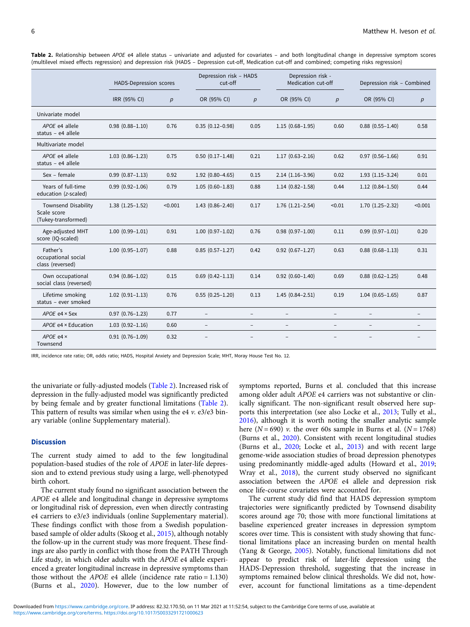<span id="page-6-0"></span>Table 2. Relationship between APOE e4 allele status – univariate and adiusted for covariates – and both longitudinal change in depressive symptom scores (multilevel mixed effects regression) and depression risk (HADS – Depression cut-off, Medication cut-off and combined; competing risks regression)

|                                                                  | HADS-Depression scores |                  | Depression risk - HADS<br>cut-off |                          | Depression risk -<br>Medication cut-off |                   | Depression risk - Combined |                          |
|------------------------------------------------------------------|------------------------|------------------|-----------------------------------|--------------------------|-----------------------------------------|-------------------|----------------------------|--------------------------|
|                                                                  | IRR (95% CI)           | $\boldsymbol{p}$ | OR (95% CI)                       | $\boldsymbol{p}$         | OR (95% CI)                             | $\boldsymbol{p}$  | OR (95% CI)                | p                        |
| Univariate model                                                 |                        |                  |                                   |                          |                                         |                   |                            |                          |
| APOE e4 allele<br>status - $e4$ allele                           | $0.98(0.88 - 1.10)$    | 0.76             | $0.35(0.12 - 0.98)$               | 0.05                     | $1.15(0.68 - 1.95)$                     | 0.60              | $0.88(0.55 - 1.40)$        | 0.58                     |
| Multivariate model                                               |                        |                  |                                   |                          |                                         |                   |                            |                          |
| APOE e4 allele<br>status - e4 allele                             | $1.03(0.86 - 1.23)$    | 0.75             | $0.50$ $(0.17-1.48)$              | 0.21                     | $1.17(0.63 - 2.16)$                     | 0.62              | $0.97(0.56 - 1.66)$        | 0.91                     |
| Sex - female                                                     | $0.99(0.87 - 1.13)$    | 0.92             | $1.92(0.80 - 4.65)$               | 0.15                     | $2.14(1.16-3.96)$                       | 0.02              | $1.93(1.15-3.24)$          | 0.01                     |
| Years of full-time<br>education (z-scaled)                       | $0.99(0.92 - 1.06)$    | 0.79             | $1.05(0.60-1.83)$                 | 0.88                     | $1.14(0.82 - 1.58)$                     | 0.44              | $1.12(0.84 - 1.50)$        | 0.44                     |
| <b>Townsend Disability</b><br>Scale score<br>(Tukey-transformed) | $1.38(1.25-1.52)$      | < 0.001          | $1.43(0.86 - 2.40)$               | 0.17                     | $1.76$ $(1.21-2.54)$                    | < 0.01            | $1.70(1.25-2.32)$          | < 0.001                  |
| Age-adjusted MHT<br>score (IQ-scaled)                            | $1.00(0.99 - 1.01)$    | 0.91             | $1.00(0.97-1.02)$                 | 0.76                     | $0.98(0.97 - 1.00)$                     | 0.11              | $0.99(0.97 - 1.01)$        | 0.20                     |
| Father's<br>occupational social<br>class (reversed)              | $1.00(0.95 - 1.07)$    | 0.88             | $0.85(0.57 - 1.27)$               | 0.42                     | $0.92$ $(0.67 - 1.27)$                  | 0.63              | $0.88$ $(0.68 - 1.13)$     | 0.31                     |
| Own occupational<br>social class (reversed)                      | $0.94(0.86 - 1.02)$    | 0.15             | $0.69$ $(0.42 - 1.13)$            | 0.14                     | $0.92$ $(0.60 - 1.40)$                  | 0.69              | $0.88$ $(0.62 - 1.25)$     | 0.48                     |
| Lifetime smoking<br>status - ever smoked                         | $1.02(0.91 - 1.13)$    | 0.76             | $0.55(0.25-1.20)$                 | 0.13                     | $1.45(0.84 - 2.51)$                     | 0.19              | $1.04(0.65 - 1.65)$        | 0.87                     |
| APOE e4 × Sex                                                    | $0.97(0.76 - 1.23)$    | 0.77             | $\overline{\phantom{a}}$          | $\bar{ }$                | $\overline{\phantom{a}}$                | $\qquad \qquad -$ |                            | $\overline{\phantom{0}}$ |
| APOE e4 × Education                                              | $1.03(0.92 - 1.16)$    | 0.60             | $\overline{\phantom{a}}$          | $\overline{\phantom{a}}$ | $\overline{\phantom{a}}$                | $\qquad \qquad -$ | $\overline{\phantom{a}}$   | $\overline{\phantom{0}}$ |
| APOE e4 ×<br>Townsend                                            | $0.91(0.76 - 1.09)$    | 0.32             |                                   |                          |                                         |                   |                            |                          |

IRR, incidence rate ratio; OR, odds ratio; HADS, Hospital Anxiety and Depression Scale; MHT, Moray House Test No. 12.

the univariate or fully-adjusted models (Table 2). Increased risk of depression in the fully-adjusted model was significantly predicted by being female and by greater functional limitations (Table 2). This pattern of results was similar when using the e4  $\nu$ . e3/e3 binary variable (online Supplementary material).

#### **Discussion**

The current study aimed to add to the few longitudinal population-based studies of the role of APOE in later-life depression and to extend previous study using a large, well-phenotyped birth cohort.

The current study found no significant association between the APOE e4 allele and longitudinal change in depressive symptoms or longitudinal risk of depression, even when directly contrasting e4 carriers to e3/e3 individuals (online Supplementary material). These findings conflict with those from a Swedish populationbased sample of older adults (Skoog et al., [2015](#page-9-0)), although notably the follow-up in the current study was more frequent. These findings are also partly in conflict with those from the PATH Through Life study, in which older adults with the APOE e4 allele experienced a greater longitudinal increase in depressive symptoms than those without the *APOE* e4 allele (incidence rate ratio =  $1.130$ ) (Burns et al., [2020](#page-8-0)). However, due to the low number of

symptoms reported, Burns et al. concluded that this increase among older adult APOE e4 carriers was not substantive or clinically significant. The non-significant result observed here supports this interpretation (see also Locke et al., [2013](#page-9-0); Tully et al., [2016\)](#page-9-0), although it is worth noting the smaller analytic sample here ( $N = 690$ ) v. the over 60s sample in Burns et al. ( $N = 1768$ ) (Burns et al., [2020](#page-8-0)). Consistent with recent longitudinal studies (Burns et al., [2020](#page-8-0); Locke et al., [2013\)](#page-9-0) and with recent large genome-wide association studies of broad depression phenotypes using predominantly middle-aged adults (Howard et al., [2019;](#page-9-0) Wray et al., [2018\)](#page-9-0), the current study observed no significant association between the APOE e4 allele and depression risk once life-course covariates were accounted for.

The current study did find that HADS depression symptom trajectories were significantly predicted by Townsend disability scores around age 70; those with more functional limitations at baseline experienced greater increases in depression symptom scores over time. This is consistent with study showing that functional limitations place an increasing burden on mental health (Yang & George, [2005\)](#page-9-0). Notably, functional limitations did not appear to predict risk of later-life depression using the HADS-Depression threshold, suggesting that the increase in symptoms remained below clinical thresholds. We did not, however, account for functional limitations as a time-dependent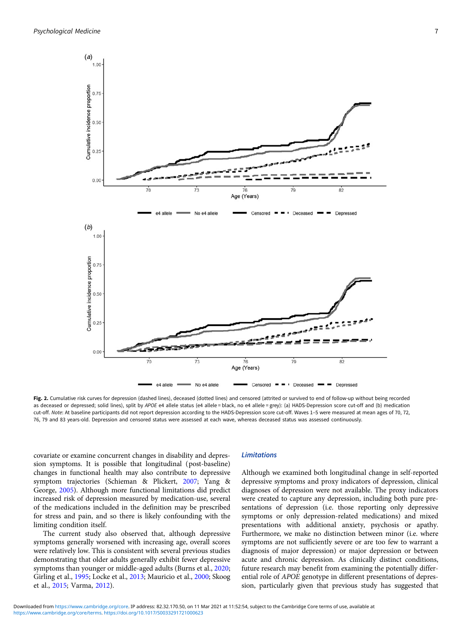<span id="page-7-0"></span>

Fig. 2. Cumulative risk curves for depression (dashed lines), deceased (dotted lines) and censored (attrited or survived to end of follow-up without being recorded as deceased or depressed; solid lines), split by APOE e4 allele status (e4 allele = black, no e4 allele = grey): (a) HADS-Depression score cut-off and (b) medication cut-off. Note: At baseline participants did not report depression according to the HADS-Depression score cut-off. Waves 1–5 were measured at mean ages of 70, 72, 76, 79 and 83 years-old. Depression and censored status were assessed at each wave, whereas deceased status was assessed continuously.

covariate or examine concurrent changes in disability and depression symptoms. It is possible that longitudinal (post-baseline) changes in functional health may also contribute to depressive symptom trajectories (Schieman & Plickert, [2007](#page-9-0); Yang & George, [2005](#page-9-0)). Although more functional limitations did predict increased risk of depression measured by medication-use, several of the medications included in the definition may be prescribed for stress and pain, and so there is likely confounding with the limiting condition itself.

The current study also observed that, although depressive symptoms generally worsened with increasing age, overall scores were relatively low. This is consistent with several previous studies demonstrating that older adults generally exhibit fewer depressive symptoms than younger or middle-aged adults (Burns et al., [2020;](#page-8-0) Girling et al., [1995;](#page-9-0) Locke et al., [2013](#page-9-0); Mauricio et al., [2000;](#page-9-0) Skoog et al., [2015;](#page-9-0) Varma, [2012](#page-9-0)).

#### Limitations

Although we examined both longitudinal change in self-reported depressive symptoms and proxy indicators of depression, clinical diagnoses of depression were not available. The proxy indicators were created to capture any depression, including both pure presentations of depression (i.e. those reporting only depressive symptoms or only depression-related medications) and mixed presentations with additional anxiety, psychosis or apathy. Furthermore, we make no distinction between minor (i.e. where symptoms are not sufficiently severe or are too few to warrant a diagnosis of major depression) or major depression or between acute and chronic depression. As clinically distinct conditions, future research may benefit from examining the potentially differential role of APOE genotype in different presentations of depression, particularly given that previous study has suggested that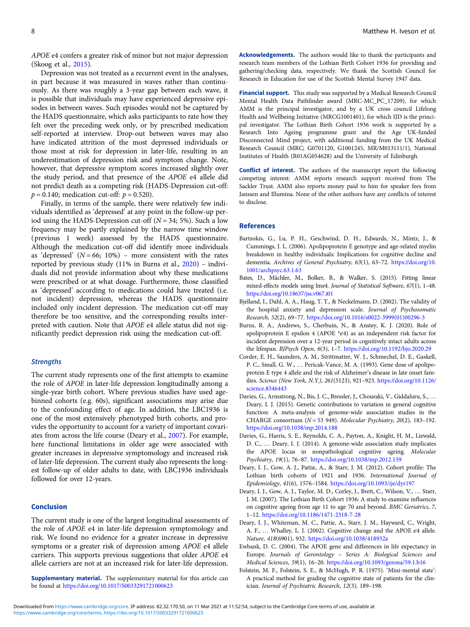<span id="page-8-0"></span>APOE e4 confers a greater risk of minor but not major depression (Skoog et al., [2015](#page-9-0)).

Depression was not treated as a recurrent event in the analyses, in part because it was measured in waves rather than continuously. As there was roughly a 3-year gap between each wave, it is possible that individuals may have experienced depressive episodes in between waves. Such episodes would not be captured by the HADS questionnaire, which asks participants to rate how they felt over the preceding week only, or by prescribed medication self-reported at interview. Drop-out between waves may also have indicated attrition of the most depressed individuals or those most at risk for depression in later-life, resulting in an underestimation of depression risk and symptom change. Note, however, that depressive symptom scores increased slightly over the study period, and that presence of the APOE e4 allele did not predict death as a competing risk (HADS-Depression cut-off:  $p = 0.140$ ; medication cut-off:  $p = 0.520$ ).

Finally, in terms of the sample, there were relatively few individuals identified as 'depressed' at any point in the follow-up period using the HADS-Depression cut-off ( $N = 34$ ; 5%). Such a low frequency may be partly explained by the narrow time window (previous 1 week) assessed by the HADS questionnaire. Although the medication cut-off did identify more individuals as 'depressed'  $(N = 66; 10\%)$  – more consistent with the rates reported by previous study (11% in Burns et al., 2020) – individuals did not provide information about why these medications were prescribed or at what dosage. Furthermore, those classified as 'depressed' according to medications could have treated (i.e. not incident) depression, whereas the HADS questionnaire included only incident depression. The medication cut-off may therefore be too sensitive, and the corresponding results interpreted with caution. Note that APOE e4 allele status did not significantly predict depression risk using the medication cut-off.

#### **Strengths**

The current study represents one of the first attempts to examine the role of APOE in later-life depression longitudinally among a single-year birth cohort. Where previous studies have used agebinned cohorts (e.g. 60s), significant associations may arise due to the confounding effect of age. In addition, the LBC1936 is one of the most extensively phenotyped birth cohorts, and provides the opportunity to account for a variety of important covariates from across the life course (Deary et al., 2007). For example, here functional limitations in older age were associated with greater increases in depressive symptomology and increased risk of later-life depression. The current study also represents the longest follow-up of older adults to date, with LBC1936 individuals followed for over 12-years.

#### Conclusion

The current study is one of the largest longitudinal assessments of the role of APOE e4 in later-life depression symptomology and risk. We found no evidence for a greater increase in depressive symptoms or a greater risk of depression among APOE e4 allele carriers. This supports previous suggestions that older APOE e4 allele carriers are not at an increased risk for later-life depression.

Supplementary material. The supplementary material for this article can be found at <https://doi.org/10.1017/S0033291721000623>

Acknowledgements. The authors would like to thank the participants and research team members of the Lothian Birth Cohort 1936 for providing and gathering/checking data, respectively. We thank the Scottish Council for Research in Education for use of the Scottish Mental Survey 1947 data.

Financial support. This study was supported by a Medical Research Council Mental Health Data Pathfinder award (MRC-MC\_PC\_17209), for which AMM is the principal investigator, and by a UK cross council Lifelong Health and Wellbeing Initiative (MRCG1001401), for which IJD is the principal investigator. The Lothian Birth Cohort 1936 work is supported by a Research Into Ageing programme grant and the Age UK-funded Disconnected Mind project, with additional funding from the UK Medical Research Council (MRC; G0701120, G1001245, MR/M013111/1), National Institutes of Health (R01AG054628) and the University of Edinburgh.

Conflict of interest. The authors of the manuscript report the following competing interest: AMM reports research support received from The Sackler Trust. AMM also reports money paid to him for speaker fees from Janssen and Illumina. None of the other authors have any conflicts of interest to disclose.

#### References

- Bartzokis, G., Lu, P. H., Geschwind, D. H., Edwards, N., Mintz, J., & Cummings, J. L. (2006). Apolipoprotein E genotype and age-related myelin breakdown in healthy individuals: Implications for cognitive decline and dementia. Archives of General Psychiatry, 63(1), 63–72. [https://doi.org/10.](https://doi.org/10.1001/archpsyc.63.1.63) [1001/archpsyc.63.1.63](https://doi.org/10.1001/archpsyc.63.1.63)
- Bates, D., Mächler, M., Bolker, B., & Walker, S. (2015). Fitting linear mixed-effects models using lme4. Journal of Statistical Software, 67(1), 1–48. <https://doi.org/10.18637/jss.v067.i01>
- Bjelland, I., Dahl, A. A., Haug, T. T., & Neckelmann, D. (2002). The validity of the hospital anxiety and depression scale. Journal of Psychosomatic Research, 52(2), 69–77. [https://doi.org/10.1016/s0022-3999\(01\)00296-3](https://doi.org/10.1016/s0022-3999(01)00296-3)
- Burns, R. A., Andrews, S., Cherbuin, N., & Anstey, K. J. (2020). Role of apolipoprotein E epsilon 4 (APOE \*ε4) as an independent risk factor for incident depression over a 12-year period in cognitively intact adults across the lifespan. BJPsych Open, 6(3), 1–7. <https://doi.org/10.1192/bjo.2020.29>
- Corder, E. H., Saunders, A. M., Strittmatter, W. J., Schmechel, D. E., Gaskell, P. C., Small, G. W., … Pericak-Vance, M. A. (1993). Gene dose of apolipoprotein E type 4 allele and the risk of Alzheimer's disease in late onset families. Science (New York, N.Y.), 261(5123), 921–923. [https://doi.org/10.1126/](https://doi.org/10.1126/science.8346443) [science.8346443](https://doi.org/10.1126/science.8346443)
- Davies, G., Armstrong, N., Bis, J. C., Bressler, J., Chouraki, V., Giddaluru, S., … Deary, I. J. (2015). Genetic contributions to variation in general cognitive function: A meta-analysis of genome-wide association studies in the CHARGE consortium ( $N = 53$  949). Molecular Psychiatry, 20(2), 183-192. <https://doi.org/10.1038/mp.2014.188>
- Davies, G., Harris, S. E., Reynolds, C. A., Payton, A., Knight, H. M., Liewald, D. C., … Deary, I. J. (2014). A genome-wide association study implicates the APOE locus in nonpathological cognitive ageing. Molecular Psychiatry, 19(1), 76–87. <https://doi.org/10.1038/mp.2012.159>
- Deary, I. J., Gow, A. J., Pattie, A., & Starr, J. M. (2012). Cohort profile: The Lothian birth cohorts of 1921 and 1936. International Journal of Epidemiology, 41(6), 1576–1584. <https://doi.org/10.1093/ije/dyr197>
- Deary, I. J., Gow, A. J., Taylor, M. D., Corley, J., Brett, C., Wilson, V., … Starr, J. M. (2007). The Lothian Birth Cohort 1936: A study to examine influences on cognitive ageing from age 11 to age 70 and beyond. BMC Geriatrics, 7, 1–12. <https://doi.org/10.1186/1471-2318-7-28>
- Deary, I. J., Whiteman, M. C., Pattie, A., Starr, J. M., Hayward, C., Wright, A. F., ... Whalley, L. J. (2002). Cognitive change and the APOE  $\varepsilon$ 4 allele. Nature, 418(6901), 932. <https://doi.org/10.1038/418932a>
- Ewbank, D. C. (2004). The APOE gene and differences in life expectancy in Europe. Journals of Gerontology – Series A: Biological Sciences and Medical Sciences, 59(1), 16–20. <https://doi.org/10.1093/gerona/59.1.b16>
- Folstein, M. F., Folstein, S. E., & McHugh, P. R. (1975). 'Mini-mental state': A practical method for grading the cognitive state of patients for the clinician. Journal of Psychiatric Research, 12(3), 189–198.